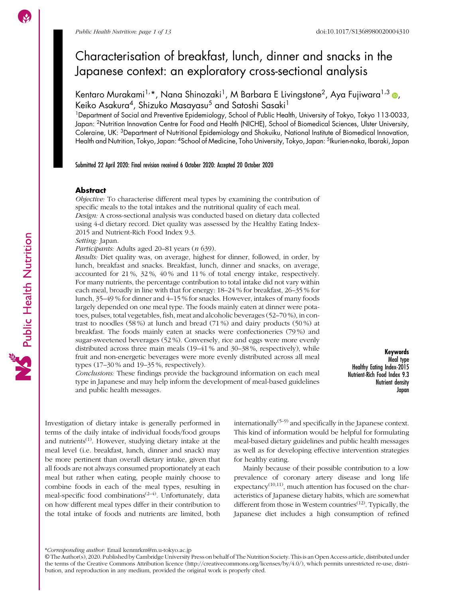# Characterisation of breakfast, lunch, dinner and snacks in the Japanese context: an exploratory cross-sectional analysis

Kentaro Murakami1, \*, Nana Shinozaki1, M Barbara E Livingstone2, Aya Fujiwara1,3 [,](https://orcid.org/0000-0001-9928-1946) Keiko Asakura<sup>4</sup>, Shizuko Masayasu<sup>5</sup> and Satoshi Sasaki<sup>1</sup>

<sup>1</sup>Department of Social and Preventive Epidemiology, School of Public Health, University of Tokyo, Tokyo 113-0033, Japan: <sup>2</sup>Nutrition Innovation Centre for Food and Health (NICHE), School of Biomedical Sciences, Ulster University, Coleraine, UK: 3Department of Nutritional Epidemiology and Shokuiku, National Institute of Biomedical Innovation, Health and Nutrition, Tokyo, Japan: 4School of Medicine, Toho University, Tokyo, Japan: 5Ikurien-naka, Ibaraki, Japan

Submitted 22 April 2020: Final revision received 6 October 2020: Accepted 20 October 2020

# **Abstract**

Objective: To characterise different meal types by examining the contribution of specific meals to the total intakes and the nutritional quality of each meal. Design: A cross-sectional analysis was conducted based on dietary data collected using 4-d dietary record. Diet quality was assessed by the Healthy Eating Index-

2015 and Nutrient-Rich Food Index 9.3.

Setting: Japan.

Participants: Adults aged 20–81 years (n 639).

Results: Diet quality was, on average, highest for dinner, followed, in order, by lunch, breakfast and snacks. Breakfast, lunch, dinner and snacks, on average, accounted for 21 %, 32 %, 40 % and 11 % of total energy intake, respectively. For many nutrients, the percentage contribution to total intake did not vary within each meal, broadly in line with that for energy: 18–24 % for breakfast, 26–35 % for lunch, 35–49 % for dinner and 4–15 % for snacks. However, intakes of many foods largely depended on one meal type. The foods mainly eaten at dinner were potatoes, pulses, total vegetables, fish, meat and alcoholic beverages (52–70 %), in contrast to noodles (58 %) at lunch and bread (71 %) and dairy products (50 %) at breakfast. The foods mainly eaten at snacks were confectioneries (79 %) and sugar-sweetened beverages (52 %). Conversely, rice and eggs were more evenly distributed across three main meals (19–41 % and 30–38 %, respectively), while fruit and non-energetic beverages were more evenly distributed across all meal types (17–30 % and 19–35 %, respectively).

Conclusions: These findings provide the background information on each meal type in Japanese and may help inform the development of meal-based guidelines and public health messages.

Keywords Meal type Healthy Eating Index-2015 Nutrient-Rich Food Index 9.3 Nutrient density Japan

Investigation of dietary intake is generally performed in terms of the daily intake of individual foods/food groups and nutrients<sup> $(1)$  $(1)$  $(1)$ </sup>. However, studying dietary intake at the meal level (i.e. breakfast, lunch, dinner and snack) may be more pertinent than overall dietary intake, given that all foods are not always consumed proportionately at each meal but rather when eating, people mainly choose to combine foods in each of the meal types, resulting in meal-specific food combinations<sup> $(2-4)$  $(2-4)$  $(2-4)$ </sup>. Unfortunately, data on how different meal types differ in their contribution to the total intake of foods and nutrients are limited, both internationally<sup> $(5-9)$  $(5-9)$  $(5-9)$  $(5-9)$ </sup> and specifically in the Japanese context. This kind of information would be helpful for formulating meal-based dietary guidelines and public health messages as well as for developing effective intervention strategies for healthy eating.

Mainly because of their possible contribution to a low prevalence of coronary artery disease and long life expectancy<sup> $(10,11)$  $(10,11)$  $(10,11)$  $(10,11)$  $(10,11)$ </sup>, much attention has focused on the characteristics of Japanese dietary habits, which are somewhat different from those in Western countries<sup> $(12)$  $(12)$  $(12)$ </sup>. Typically, the Japanese diet includes a high consumption of refined

Public Health Nutrition

<sup>\*</sup>Corresponding author: Email kenmrkm@m.u-tokyo.ac.jp

<sup>©</sup> The Author(s), 2020. Published by Cambridge University Press on behalf of The Nutrition Society. This is an Open Access article, distributed under the terms of the Creative Commons Attribution licence [\(http://creativecommons.org/licenses/by/4.0/\)](http://creativecommons.org/licenses/by/4.0/), which permits unrestricted re-use, distribution, and reproduction in any medium, provided the original work is properly cited.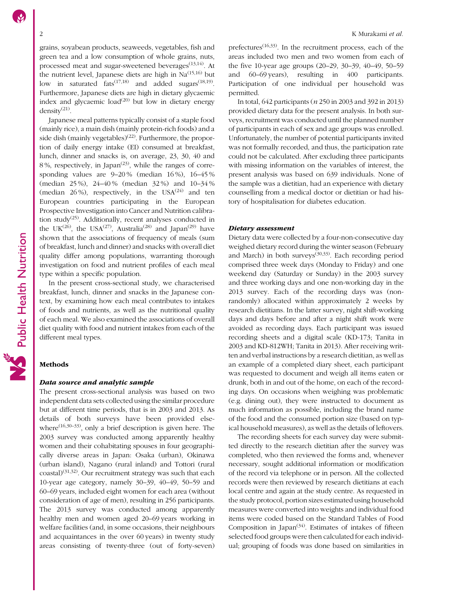grains, soyabean products, seaweeds, vegetables, fish and green tea and a low consumption of whole grains, nuts, processed meat and sugar-sweetened beverages $(13,14)$  $(13,14)$ . At the nutrient level, Japanese diets are high in  $Na<sup>(15,16)</sup>$  $Na<sup>(15,16)</sup>$  $Na<sup>(15,16)</sup>$  but low in saturated fats<sup> $(17,18)$  $(17,18)$ </sup> and added sugars<sup> $(18,19)$  $(18,19)$ </sup>. Furthermore, Japanese diets are high in dietary glycaemic index and glycaemic load<sup>[\(20\)](#page-11-0)</sup> but low in dietary energy density([21](#page-11-0)).

Japanese meal patterns typically consist of a staple food (mainly rice), a main dish (mainly protein-rich foods) and a side dish (mainly vegetables)<sup>([22](#page-12-0))</sup>. Furthermore, the proportion of daily energy intake (EI) consumed at breakfast, lunch, dinner and snacks is, on average, 23, 30, 40 and 8%, respectively, in Japan<sup> $(23)$  $(23)$  $(23)$ </sup>, while the ranges of corresponding values are 9–20 % (median 16 %), 16–45 % (median 25 %), 24–40 % (median 32 %) and 10–34 % (median  $26\%$ ), respectively, in the USA $^{(24)}$  $^{(24)}$  $^{(24)}$  and ten European countries participating in the European Prospective Investigation into Cancer and Nutrition calibra-tion study<sup>([25](#page-12-0))</sup>. Additionally, recent analyses conducted in the UK<sup>[\(26\)](#page-12-0)</sup>, the USA<sup>([27](#page-12-0))</sup>, Australia<sup>[\(28\)](#page-12-0)</sup> and Japan<sup>[\(29](#page-12-0))</sup> have shown that the associations of frequency of meals (sum of breakfast, lunch and dinner) and snacks with overall diet quality differ among populations, warranting thorough investigation on food and nutrient profiles of each meal type within a specific population.

In the present cross-sectional study, we characterised breakfast, lunch, dinner and snacks in the Japanese context, by examining how each meal contributes to intakes of foods and nutrients, as well as the nutritional quality of each meal. We also examined the associations of overall diet quality with food and nutrient intakes from each of the different meal types.

# Methods

#### Data source and analytic sample

The present cross-sectional analysis was based on two independent data sets collected using the similar procedure but at different time periods, that is in 2003 and 2013. As details of both surveys have been provided elsewhere<sup> $(16,30-33)$  $(16,30-33)$  $(16,30-33)$  $(16,30-33)$ </sup>, only a brief description is given here. The 2003 survey was conducted among apparently healthy women and their cohabitating spouses in four geographically diverse areas in Japan: Osaka (urban), Okinawa (urban island), Nagano (rural inland) and Tottori (rural  $\cos\left(\frac{31,32}{2}\right)$  $\cos\left(\frac{31,32}{2}\right)$  $\cos\left(\frac{31,32}{2}\right)$ . Our recruitment strategy was such that each 10-year age category, namely 30–39, 40–49, 50–59 and 60–69 years, included eight women for each area (without consideration of age of men), resulting in 256 participants. The 2013 survey was conducted among apparently healthy men and women aged 20–69 years working in welfare facilities (and, in some occasions, their neighbours and acquaintances in the over 60 years) in twenty study areas consisting of twenty-three (out of forty-seven)

prefectures[\(16](#page-11-0),[33](#page-12-0)). In the recruitment process, each of the areas included two men and two women from each of the five 10-year age groups (20–29, 30–39, 40–49, 50–59 and 60–69 years), resulting in 400 participants. Participation of one individual per household was permitted.

In total, 642 participants (n 250 in 2003 and 392 in 2013) provided dietary data for the present analysis. In both surveys, recruitment was conducted until the planned number of participants in each of sex and age groups was enrolled. Unfortunately, the number of potential participants invited was not formally recorded, and thus, the participation rate could not be calculated. After excluding three participants with missing information on the variables of interest, the present analysis was based on 639 individuals. None of the sample was a dietitian, had an experience with dietary counselling from a medical doctor or dietitian or had history of hospitalisation for diabetes education.

# Dietary assessment

Dietary data were collected by a four-non-consecutive day weighed dietary record during the winter season (February and March) in both surveys<sup>[\(30,33](#page-12-0))</sup>. Each recording period comprised three week days (Monday to Friday) and one weekend day (Saturday or Sunday) in the 2003 survey and three working days and one non-working day in the 2013 survey. Each of the recording days was (nonrandomly) allocated within approximately 2 weeks by research dietitians. In the latter survey, night shift-working days and days before and after a night shift work were avoided as recording days. Each participant was issued recording sheets and a digital scale (KD-173; Tanita in 2003 and KD-812WH; Tanita in 2013). After receiving written and verbal instructions by a research dietitian, as well as an example of a completed diary sheet, each participant was requested to document and weigh all items eaten or drunk, both in and out of the home, on each of the recording days. On occasions when weighing was problematic (e.g. dining out), they were instructed to document as much information as possible, including the brand name of the food and the consumed portion size (based on typical household measures), as well as the details of leftovers.

The recording sheets for each survey day were submitted directly to the research dietitian after the survey was completed, who then reviewed the forms and, whenever necessary, sought additional information or modification of the record via telephone or in person. All the collected records were then reviewed by research dietitians at each local centre and again at the study centre. As requested in the study protocol, portion sizes estimated using household measures were converted into weights and individual food items were coded based on the Standard Tables of Food Composition in Japan<sup> $(34)$  $(34)$  $(34)$ </sup>. Estimates of intakes of fifteen selected food groups were then calculated for each individual; grouping of foods was done based on similarities in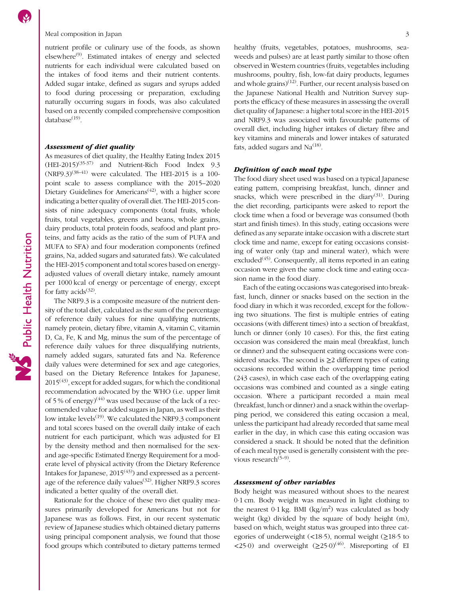nutrient profile or culinary use of the foods, as shown elsewhere[\(9](#page-11-0)). Estimated intakes of energy and selected nutrients for each individual were calculated based on the intakes of food items and their nutrient contents. Added sugar intake, defined as sugars and syrups added to food during processing or preparation, excluding naturally occurring sugars in foods, was also calculated based on a recently compiled comprehensive composition database $(19)$  $(19)$ .

#### Assessment of diet quality

As measures of diet quality, the Healthy Eating Index 2015 (HEI-2015)[\(35-37](#page-12-0)) and Nutrient-Rich Food Index 9.3  $(NRF9.3)^{(38-41)}$  $(NRF9.3)^{(38-41)}$  $(NRF9.3)^{(38-41)}$  $(NRF9.3)^{(38-41)}$  $(NRF9.3)^{(38-41)}$  were calculated. The HEI-2015 is a 100point scale to assess compliance with the 2015–2020 Dietary Guidelines for Americans<sup> $(42)$  $(42)$ </sup>, with a higher score indicating a better quality of overall diet. The HEI-2015 consists of nine adequacy components (total fruits, whole fruits, total vegetables, greens and beans, whole grains, dairy products, total protein foods, seafood and plant proteins, and fatty acids as the ratio of the sum of PUFA and MUFA to SFA) and four moderation components (refined grains, Na, added sugars and saturated fats). We calculated the HEI-2015 component and total scores based on energyadjusted values of overall dietary intake, namely amount per 1000 kcal of energy or percentage of energy, except for fatty acids<sup> $(32)$  $(32)$  $(32)$ </sup>.

The NRF9.3 is a composite measure of the nutrient density of the total diet, calculated as the sum of the percentage of reference daily values for nine qualifying nutrients, namely protein, dietary fibre, vitamin A, vitamin C, vitamin D, Ca, Fe, K and Mg, minus the sum of the percentage of reference daily values for three disqualifying nutrients, namely added sugars, saturated fats and Na. Reference daily values were determined for sex and age categories, based on the Dietary Reference Intakes for Japanese,  $2015<sup>(43)</sup>$  $2015<sup>(43)</sup>$  $2015<sup>(43)</sup>$ , except for added sugars, for which the conditional recommendation advocated by the WHO (i.e. upper limit of 5 % of energy)<sup>([44](#page-12-0))</sup> was used because of the lack of a recommended value for added sugars in Japan, as well as their low intake levels $(19)$  $(19)$  $(19)$ . We calculated the NRF9.3 component and total scores based on the overall daily intake of each nutrient for each participant, which was adjusted for EI by the density method and then normalised for the sexand age-specific Estimated Energy Requirement for a moderate level of physical activity (from the Dietary Reference Intakes for Japanese,  $2015^{(43)}$  $2015^{(43)}$  $2015^{(43)}$  and expressed as a percent-age of the reference daily values<sup>([32](#page-12-0))</sup>. Higher NRF9.3 scores indicated a better quality of the overall diet.

Rationale for the choice of these two diet quality measures primarily developed for Americans but not for Japanese was as follows. First, in our recent systematic review of Japanese studies which obtained dietary patterns using principal component analysis, we found that those food groups which contributed to dietary patterns termed weeds and pulses) are at least partly similar to those often observed in Western countries (fruits, vegetables including mushrooms, poultry, fish, low-fat dairy products, legumes and whole grains) $(12)$ . Further, our recent analysis based on the Japanese National Health and Nutrition Survey supports the efficacy of these measures in assessing the overall diet quality of Japanese: a higher total score in the HEI-2015 and NRF9.3 was associated with favourable patterns of overall diet, including higher intakes of dietary fibre and key vitamins and minerals and lower intakes of saturated fats, added sugars and  $Na<sup>(18)</sup>$  $Na<sup>(18)</sup>$  $Na<sup>(18)</sup>$ .

# Definition of each meal type

The food diary sheet used was based on a typical Japanese eating pattern, comprising breakfast, lunch, dinner and snacks, which were prescribed in the diary<sup>([31](#page-12-0))</sup>. During the diet recording, participants were asked to report the clock time when a food or beverage was consumed (both start and finish times). In this study, eating occasions were defined as any separate intake occasion with a discrete start clock time and name, except for eating occasions consisting of water only (tap and mineral water), which were excluded<sup>([45](#page-12-0))</sup>. Consequently, all items reported in an eating occasion were given the same clock time and eating occasion name in the food diary.

Each of the eating occasions was categorised into breakfast, lunch, dinner or snacks based on the section in the food diary in which it was recorded, except for the following two situations. The first is multiple entries of eating occasions (with different times) into a section of breakfast, lunch or dinner (only 10 cases). For this, the first eating occasion was considered the main meal (breakfast, lunch or dinner) and the subsequent eating occasions were considered snacks. The second is ≥2 different types of eating occasions recorded within the overlapping time period (243 cases), in which case each of the overlapping eating occasions was combined and counted as a single eating occasion. Where a participant recorded a main meal (breakfast, lunch or dinner) and a snack within the overlapping period, we considered this eating occasion a meal, unless the participant had already recorded that same meal earlier in the day, in which case this eating occasion was considered a snack. It should be noted that the definition of each meal type used is generally consistent with the previous research $(5-9)$  $(5-9)$  $(5-9)$  $(5-9)$ .

#### Assessment of other variables

Body height was measured without shoes to the nearest 0·1 cm. Body weight was measured in light clothing to the nearest  $0.1 \text{ kg}$ . BMI (kg/m<sup>2</sup>) was calculated as body weight (kg) divided by the square of body height (m), based on which, weight status was grouped into three categories of underweight  $(\leq 18.5)$ , normal weight ( $\geq 18.5$  to <25.0) and overweight  $(\geq 25.0)^{(46)}$  $(\geq 25.0)^{(46)}$  $(\geq 25.0)^{(46)}$ . Misreporting of EI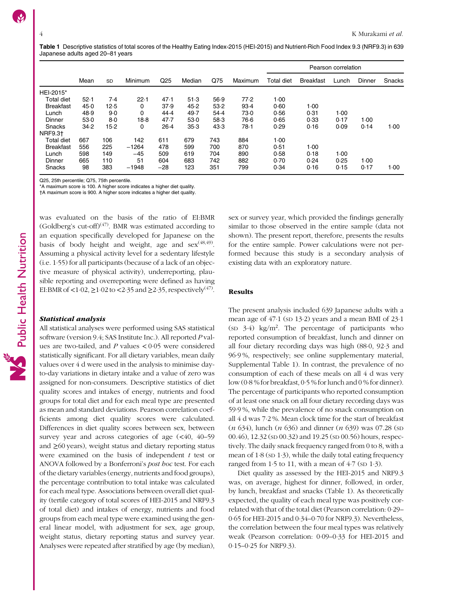Table 1 Descriptive statistics of total scores of the Healthy Eating Index-2015 (HEI-2015) and Nutrient-Rich Food Index 9.3 (NRF9.3) in 639 Japanese adults aged 20–81 years

|                  |      |        |         |                 |        |      |         |                   |                  | Pearson correlation |        |        |  |  |  |
|------------------|------|--------|---------|-----------------|--------|------|---------|-------------------|------------------|---------------------|--------|--------|--|--|--|
|                  | Mean | SD     | Minimum | Q <sub>25</sub> | Median | Q75  | Maximum | <b>Total diet</b> | <b>Breakfast</b> | Lunch               | Dinner | Snacks |  |  |  |
| HEI-2015*        |      |        |         |                 |        |      |         |                   |                  |                     |        |        |  |  |  |
| Total diet       | 52.1 | 7.4    | 22.1    | 47.1            | 51.3   | 56.9 | 77.2    | 1.00              |                  |                     |        |        |  |  |  |
| <b>Breakfast</b> | 45.0 | 12.5   | 0       | 37.9            | 45.2   | 53.2 | 93.4    | 0.60              | 1.00             |                     |        |        |  |  |  |
| Lunch            | 48.9 | 9.0    | 0       | 44.4            | 49.7   | 54.4 | 73.0    | 0.56              | 0.31             | 1.00                |        |        |  |  |  |
| Dinner           | 53.0 | 8.0    | 18.8    | 47.7            | 53.0   | 58.3 | 76.6    | 0.65              | 0.33             | 0.17                | 1.00   |        |  |  |  |
| Snacks           | 34.2 | $15-2$ | 0       | $26-4$          | 35.3   | 43.3 | 78 1    | 0.29              | 0.16             | 0.09                | 0.14   | 1.00   |  |  |  |
| <b>NRF9.31</b>   |      |        |         |                 |        |      |         |                   |                  |                     |        |        |  |  |  |
| Total diet       | 667  | 106    | 142     | 611             | 679    | 743  | 884     | 1.00              |                  |                     |        |        |  |  |  |
| <b>Breakfast</b> | 556  | 225    | $-1264$ | 478             | 599    | 700  | 870     | 0.51              | $1-00$           |                     |        |        |  |  |  |
| Lunch            | 598  | 149    | $-45$   | 509             | 619    | 704  | 890     | 0.58              | 0.18             | 1.00                |        |        |  |  |  |
| Dinner           | 665  | 110    | 51      | 604             | 683    | 742  | 882     | 0.70              | 0.24             | 0.25                | 1.00   |        |  |  |  |
| Snacks           | 98   | 383    | $-1948$ | $-28$           | 123    | 351  | 799     | 0.34              | 0.16             | 0.15                | 0.17   | 1.00   |  |  |  |

Q25, 25th percentile; Q75, 75th percentile.

\*A maximum score is 100. A higher score indicates a higher diet quality.

†A maximum score is 900. A higher score indicates a higher diet quality.

was evaluated on the basis of the ratio of EI:BMR (Goldberg's cut-off)<sup> $(47)$ </sup>. BMR was estimated according to an equation specifically developed for Japanese on the basis of body height and weight, age and  $sex^{(48,49)}$  $sex^{(48,49)}$  $sex^{(48,49)}$ . Assuming a physical activity level for a sedentary lifestyle (i.e. 1·55) for all participants (because of a lack of an objective measure of physical activity), underreporting, plausible reporting and overreporting were defined as having EI:BMR of <1 $\cdot$ 02,  $\geq$ 1 $\cdot$ 02 to <2 $\cdot$ 35 and  $\geq$ 2 $\cdot$ 35, respectively<sup>[\(47](#page-12-0))</sup>.

#### Statistical analysis

All statistical analyses were performed using SAS statistical software (version 9.4; SAS Institute Inc.). All reported P values are two-tailed, and  $P$  values  $< 0.05$  were considered statistically significant. For all dietary variables, mean daily values over 4 d were used in the analysis to minimise dayto-day variations in dietary intake and a value of zero was assigned for non-consumers. Descriptive statistics of diet quality scores and intakes of energy, nutrients and food groups for total diet and for each meal type are presented as mean and standard deviations. Pearson correlation coefficients among diet quality scores were calculated. Differences in diet quality scores between sex, between survey year and across categories of age  $(\leq 40, 40-59)$ and ≥60 years), weight status and dietary reporting status were examined on the basis of independent  $t$  test or ANOVA followed by a Bonferroni's post hoc test. For each of the dietary variables (energy, nutrients and food groups), the percentage contribution to total intake was calculated for each meal type. Associations between overall diet quality (tertile category of total scores of HEI-2015 and NRF9.3 of total diet) and intakes of energy, nutrients and food groups from each meal type were examined using the general linear model, with adjustment for sex, age group, weight status, dietary reporting status and survey year. Analyses were repeated after stratified by age (by median), sex or survey year, which provided the findings generally similar to those observed in the entire sample (data not shown). The present report, therefore, presents the results for the entire sample. Power calculations were not performed because this study is a secondary analysis of existing data with an exploratory nature.

### Results

The present analysis included 639 Japanese adults with a mean age of 47·1 (SD 13·2) years and a mean BMI of 23·1 (SD 3·4) kg/m2 . The percentage of participants who reported consumption of breakfast, lunch and dinner on all four dietary recording days was high (88·0, 92·3 and 96·9 %, respectively; see online supplementary material, Supplemental Table 1). In contrast, the prevalence of no consumption of each of these meals on all 4 d was very low (0·8 % for breakfast, 0·5 % for lunch and 0 % for dinner). The percentage of participants who reported consumption of at least one snack on all four dietary recording days was 59·9 %, while the prevalence of no snack consumption on all 4 d was 7·2 %. Mean clock time for the start of breakfast  $(n 634)$ , lunch  $(n 636)$  and dinner  $(n 639)$  was 07.28 (sp 00.46), 12.32 (SD 00.32) and 19.25 (SD 00.56) hours, respectively. The daily snack frequency ranged from 0 to 8, with a mean of  $1.8$  (sp  $1.3$ ), while the daily total eating frequency ranged from  $1·5$  to  $11$ , with a mean of  $4·7$  (sp  $1·3$ ).

Diet quality as assessed by the HEI-2015 and NRF9.3 was, on average, highest for dinner, followed, in order, by lunch, breakfast and snacks (Table 1). As theoretically expected, the quality of each meal type was positively correlated with that of the total diet (Pearson correlation: 0·29– 0·65 for HEI-2015 and 0·34–0·70 for NRF9.3). Nevertheless, the correlation between the four meal types was relatively weak (Pearson correlation: 0·09–0·33 for HEI-2015 and 0·15–0·25 for NRF9.3).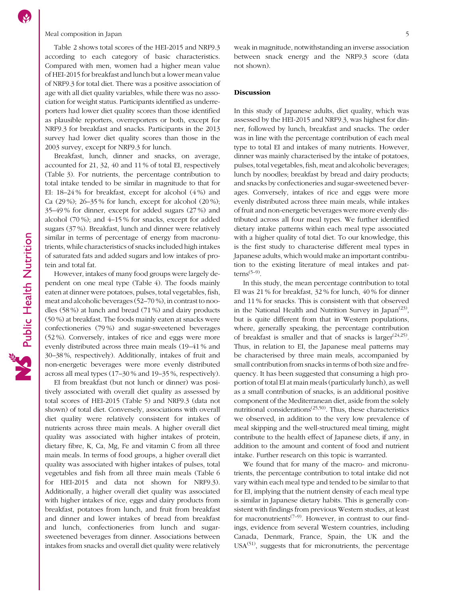# Meal composition in Japan 5

Table [2](#page-5-0) shows total scores of the HEI-2015 and NRF9.3 according to each category of basic characteristics. Compared with men, women had a higher mean value of HEI-2015 for breakfast and lunch but a lower mean value of NRF9.3 for total diet. There was a positive association of age with all diet quality variables, while there was no association for weight status. Participants identified as underreporters had lower diet quality scores than those identified as plausible reporters, overreporters or both, except for NRF9.3 for breakfast and snacks. Participants in the 2013 survey had lower diet quality scores than those in the 2003 survey, except for NRF9.3 for lunch.

Breakfast, lunch, dinner and snacks, on average, accounted for 21, 32, 40 and 11 % of total EI, respectively (Table [3](#page-6-0)). For nutrients, the percentage contribution to total intake tended to be similar in magnitude to that for EI: 18–24 % for breakfast, except for alcohol (4 %) and Ca (29 %); 26–35 % for lunch, except for alcohol (20 %); 35–49 % for dinner, except for added sugars (27 %) and alcohol (70 %); and 4–15 % for snacks, except for added sugars (37 %). Breakfast, lunch and dinner were relatively similar in terms of percentage of energy from macronutrients, while characteristics of snacks included high intakes of saturated fats and added sugars and low intakes of protein and total fat.

However, intakes of many food groups were largely dependent on one meal type (Table [4](#page-7-0)). The foods mainly eaten at dinner were potatoes, pulses, total vegetables, fish, meat and alcoholic beverages (52–70 %), in contrast to noodles (58 %) at lunch and bread (71 %) and dairy products (50 %) at breakfast. The foods mainly eaten at snacks were confectioneries (79 %) and sugar-sweetened beverages (52 %). Conversely, intakes of rice and eggs were more evenly distributed across three main meals (19–41 % and 30–38 %, respectively). Additionally, intakes of fruit and non-energetic beverages were more evenly distributed across all meal types (17–30 % and 19–35 %, respectively).

EI from breakfast (but not lunch or dinner) was positively associated with overall diet quality as assessed by total scores of HEI-2015 (Table [5](#page-8-0)) and NRF9.3 (data not shown) of total diet. Conversely, associations with overall diet quality were relatively consistent for intakes of nutrients across three main meals. A higher overall diet quality was associated with higher intakes of protein, dietary fibre, K, Ca, Mg, Fe and vitamin C from all three main meals. In terms of food groups, a higher overall diet quality was associated with higher intakes of pulses, total vegetables and fish from all three main meals (Table [6](#page-9-0) for HEI-2015 and data not shown for NRF9.3). Additionally, a higher overall diet quality was associated with higher intakes of rice, eggs and dairy products from breakfast, potatoes from lunch, and fruit from breakfast and dinner and lower intakes of bread from breakfast and lunch, confectioneries from lunch and sugarsweetened beverages from dinner. Associations between intakes from snacks and overall diet quality were relatively

# Discussion

In this study of Japanese adults, diet quality, which was assessed by the HEI-2015 and NRF9.3, was highest for dinner, followed by lunch, breakfast and snacks. The order was in line with the percentage contribution of each meal type to total EI and intakes of many nutrients. However, dinner was mainly characterised by the intake of potatoes, pulses, total vegetables, fish, meat and alcoholic beverages; lunch by noodles; breakfast by bread and dairy products; and snacks by confectioneries and sugar-sweetened beverages. Conversely, intakes of rice and eggs were more evenly distributed across three main meals, while intakes of fruit and non-energetic beverages were more evenly distributed across all four meal types. We further identified dietary intake patterns within each meal type associated with a higher quality of total diet. To our knowledge, this is the first study to characterise different meal types in Japanese adults, which would make an important contribution to the existing literature of meal intakes and patterns<sup> $(5-9)$  $(5-9)$  $(5-9)$  $(5-9)$ </sup>.

In this study, the mean percentage contribution to total EI was 21 % for breakfast, 32 % for lunch, 40 % for dinner and 11 % for snacks. This is consistent with that observed in the National Health and Nutrition Survey in Japan<sup>[\(23](#page-12-0))</sup>, but is quite different from that in Western populations, where, generally speaking, the percentage contribution of breakfast is smaller and that of snacks is larger<sup> $(24,25)$  $(24,25)$ </sup>. Thus, in relation to EI, the Japanese meal patterns may be characterised by three main meals, accompanied by small contribution from snacks in terms of both size and frequency. It has been suggested that consuming a high proportion of total EI at main meals (particularly lunch), as well as a small contribution of snacks, is an additional positive component of the Mediterranean diet, aside from the solely nutritional considerations<sup> $(25,50)$  $(25,50)$ </sup>. Thus, these characteristics we observed, in addition to the very low prevalence of meal skipping and the well-structured meal timing, might contribute to the health effect of Japanese diets, if any, in addition to the amount and content of food and nutrient intake. Further research on this topic is warranted.

We found that for many of the macro- and micronutrients, the percentage contribution to total intake did not vary within each meal type and tended to be similar to that for EI, implying that the nutrient density of each meal type is similar in Japanese dietary habits. This is generally consistent with findings from previous Western studies, at least for macronutrients<sup> $(7-9)$  $(7-9)$  $(7-9)$  $(7-9)$ </sup>. However, in contrast to our findings, evidence from several Western countries, including Canada, Denmark, France, Spain, the UK and the  $USA<sup>(51)</sup>$  $USA<sup>(51)</sup>$  $USA<sup>(51)</sup>$ , suggests that for micronutrients, the percentage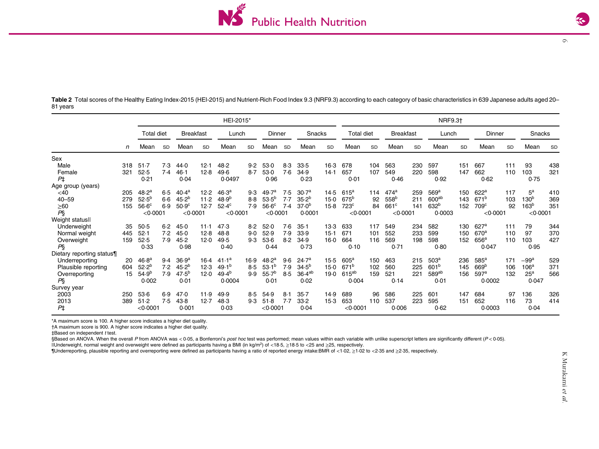

 $\circ$ 

<span id="page-5-0"></span>Table 2 Total scores of the Healthy Eating Index-2015 (HEI-2015) and Nutrient-Rich Food Index 9.3 (NRF9.3) according to each category of basic characteristics in 639 Japanese adults aged 20– 81 years

|                           |                 |                   |           |                    |           | HEI-2015*         |           |                    |     |                   |           |                    |     |                  |           | <b>NRF9.31</b>    |     |                    |           |                  |     |
|---------------------------|-----------------|-------------------|-----------|--------------------|-----------|-------------------|-----------|--------------------|-----|-------------------|-----------|--------------------|-----|------------------|-----------|-------------------|-----|--------------------|-----------|------------------|-----|
|                           |                 | <b>Total diet</b> |           | <b>Breakfast</b>   |           | Lunch             |           | Dinner             |     | Snacks            |           | Total diet         |     | <b>Breakfast</b> |           | Lunch             |     | Dinner             |           | Snacks           |     |
|                           | n               | Mean              | <b>SD</b> | Mean               | <b>SD</b> | Mean              | <b>SD</b> | Mean               | SD  | Mean              | <b>SD</b> | Mean               | SD  | Mear             | <b>SD</b> | Mean              | SD  | Mean               | <b>SD</b> | Mean             | SD  |
| Sex                       |                 |                   |           |                    |           |                   |           |                    |     |                   |           |                    |     |                  |           |                   |     |                    |           |                  |     |
| Male                      | 318             | $51-7$            | 7.3       | 44.0               | 12.1      | 48.2              | 9.2       | $53-0$             | 8.3 | 33.5              | $16-3$    | 678                | 104 | 563              | 230       | 597               | 151 | 667                | 111       | 93               | 438 |
| Female                    | 32 <sup>2</sup> | 52.5              | 7.4       | 46.1               | 12.8      | 49.6              | 8.7       | 53.0               | 7.6 | 34.9              | 14.1      | 657                | 107 | 549              | 220       | 598               | 147 | 662                | 110       | 103              | 321 |
| $P+$                      |                 | 0.21              |           | 0.04               |           | 0.0497            |           | 0.96               |     | 0.23              |           | 0.01<br>0.46       |     | 0.92             |           | 0.62              |     | 0.75               |           |                  |     |
| Age group (years)         |                 |                   |           |                    |           |                   |           |                    |     |                   |           |                    |     |                  |           |                   |     |                    |           |                  |     |
| $<$ 40                    | 205             | 48.2 <sup>a</sup> | 6.5       | 40.4 <sup>a</sup>  | 12.2      | 46.3 <sup>a</sup> | 9.3       | 49.7 <sup>a</sup>  | 7.5 | 30.7 <sup>a</sup> | 14.5      | 615 <sup>a</sup>   | 114 | $474^a$          | 259       | 569 <sup>a</sup>  | 150 | 622 <sup>a</sup>   | 117       | $5^{\rm a}$      | 410 |
| $40 - 59$                 | 279             | $52.5^{b}$        | $6 - 6$   | $45.2^{b}$         | 11.2      | 48.9 <sup>b</sup> | 8.8       | $53.5^{b}$         | 7.7 | 35.2 <sup>b</sup> | 15.0      | 675 <sup>b</sup>   | 92  | 558 <sup>b</sup> | $21 -$    | 600 <sup>ab</sup> | 143 | 671 <sup>b</sup>   | 103       | 130 <sup>b</sup> | 369 |
| $\geq 60$                 | 155             | $56.6^\circ$      | 6.9       | 50.9 <sup>c</sup>  | 12.7      | $52.4^\circ$      | 7.9       | 56.6 <sup>c</sup>  | 7.4 | 37.0 <sup>b</sup> | 15.8      | $723^{\circ}$      | 84  | 661 <sup>c</sup> | 141       | 632 <sup>b</sup>  | 152 | 709 <sup>c</sup>   | 92        | 163 <sup>b</sup> | 351 |
| P <sub>S</sub>            |                 | < 0.0001          |           | $<$ 0 $\cdot$ 0001 |           | < 0.0001          |           | $<$ 0 $\cdot$ 0001 |     | 0.0001            |           | < 0.0001           |     | < 0.0001         |           | 0.0003            |     | $<$ 0 $\cdot$ 0001 |           | < 0.0001         |     |
| Weight statusll           |                 |                   |           |                    |           |                   |           |                    |     |                   |           |                    |     |                  |           |                   |     |                    |           |                  |     |
| Underweight               | 35              | 50.5              | 6.2       | 45.0               | $11-1$    | 47.3              | 8.2       | 52.0               | 7.6 | $35-1$            | 13.3      | 633                | 117 | 549              | 234       | 582               | 130 | 627 <sup>a</sup>   | 111       | 79               | 344 |
| Normal weight             | 445             | 52.1              | 7.2       | 45.0               | 12.8      | 48.8              | 9.0       | 52.9               | 7.9 | 33.9              | 15.1      | 671                | 101 | 552              | 233       | 599               | 150 | 670 <sup>a</sup>   | 110       | 97               | 370 |
| Overweight                | 159             | 52.5              | 7.9       | 45.2               | 12.0      | 49.5              | 9.3       | 53.6               | 8.2 | 34.9              | $16-0$    | 664                | 116 | 569              | 198       | 598               | 152 | 656 <sup>a</sup>   | 110       | 103              | 427 |
| Ρ§                        |                 | 0.33              |           | 0.98               |           | 0.40              |           | 0.44               |     | 0.73              |           | 0.10               |     | 0.71             |           | 0.80              |     | 0.047              |           | 0.95             |     |
| Dietary reporting status¶ |                 |                   |           |                    |           |                   |           |                    |     |                   |           |                    |     |                  |           |                   |     |                    |           |                  |     |
| Underreporting            | 20              | 46.8 <sup>a</sup> | 9.4       | 36.9 <sup>a</sup>  | $16-4$    | 41.1 <sup>a</sup> | 16.9      | 48.2 <sup>a</sup>  | 9.6 | 24.7 <sup>a</sup> | $15-5$    | 605 <sup>a</sup>   | 150 | 463              | 215       | 503 <sup>a</sup>  | 236 | 585 <sup>a</sup>   | 171       | $-99a$           | 529 |
| Plausible reporting       | 604             | 52.2 <sup>b</sup> | 7.2       | 45.2 <sup>b</sup>  | 12.3      | 49.1 <sup>b</sup> | 8.5       | 53.1 <sup>b</sup>  | 7.9 | 34.5 <sup>b</sup> | $15-0$    | 671 <sup>b</sup>   | 102 | 560              | 225       | 601 <sup>b</sup>  | 145 | 669 <sup>b</sup>   | 106       | 106 <sup>a</sup> | 371 |
| Overreporting             | 15              | 54.9 <sup>b</sup> | 7.9       | $47.5^{b}$         | 12.0      | $49.4^{b}$        | 9.9       | 55.7 <sup>b</sup>  | 8.5 | $36.4^{\sf ab}$   | 19.0      | $615^{ab}$         | 159 | 521              | 221       | $589^{\sf ab}$    | 156 | 597 <sup>a</sup>   | 132       | 25 <sup>a</sup>  | 566 |
| PŞ                        |                 | 0.002             |           | 0.01               |           | 0.0004            |           | 0.01               |     | 0.02              |           | 0.004              |     | 0.14             |           | 0.01              |     | 0.0002             |           | 0.047            |     |
| Survey year               |                 |                   |           |                    |           |                   |           |                    |     |                   |           |                    |     |                  |           |                   |     |                    |           |                  |     |
| 2003                      | 250             | 53.6              | 6.9       | 47.0               | 11.9      | 49.9              | 8.5       | 54.9               | 8.1 | $35 - 7$          | 14.9      | 689                | 96  | 586              | 225       | 601               | 147 | 684                | 97        | 136              | 326 |
| 2013                      | 389             | 51.2              | 7.5       | 43.8               | 12.7      | 48.3              | 9.3       | $51-8$             | 7.7 | 33.2              | 15.3      | 653                | 110 | 537              | 223       | 595               | 151 | 652                | 116       | 73               | 414 |
| $P+$                      |                 | < 0.0001          |           | 0.001              |           | 0.03              |           | $<$ 0 $\cdot$ 0001 |     | 0.04              |           | $<$ 0 $\cdot$ 0001 |     | 0.006            |           | 0.62              |     | 0.0003             |           | 0.04             |     |

\*A maximum score is 100. A higher score indicates <sup>a</sup> higher diet quality.

†A maximum score is 900. A higher score indicates <sup>a</sup> higher diet quality.

 $\ddagger$ Based on independent t test.

§Based on ANOVA. When the overall P from ANOVA was < 0.05, a Bonferroni's post hoc test was performed; mean values within each variable with unlike superscript letters are significantly different ( $P$  < 0.05).

 $|$ Underweight, normal weight and overweight were defined as participants having a BMI (in kg/m<sup>2</sup>) of <18·5, ≥18·5 to <25 and ≥25, respectively.

¶Underreporting, plausible reporting and overreporting were defined as participants having <sup>a</sup> ratio of reported energy intake:BMR of <sup>&</sup>lt;1·02, ≥1·02 to <sup>&</sup>lt;2·35 and ≥2·35, respectively.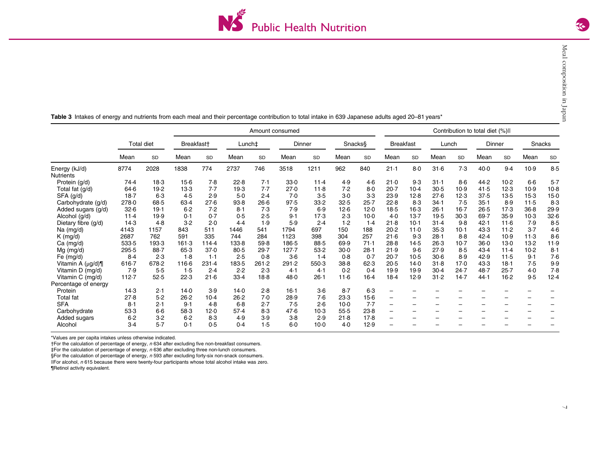|                                   | Amount consumed |            |            |           |        |           |         |           | Contribution to total diet (%) |           |                          |           |                          |           |        |        |          |        |
|-----------------------------------|-----------------|------------|------------|-----------|--------|-----------|---------|-----------|--------------------------------|-----------|--------------------------|-----------|--------------------------|-----------|--------|--------|----------|--------|
|                                   |                 | Total diet | Breakfast† |           | Lunch‡ |           |         | Dinner    |                                | Snacks§   | <b>Breakfast</b>         |           | Lunch                    |           | Dinner |        | Snacks   |        |
|                                   | Mean            | <b>SD</b>  | Mean       | <b>SD</b> | Mean   | <b>SD</b> | Mean    | <b>SD</b> | Mean                           | <b>SD</b> | Mean                     | <b>SD</b> | Mean                     | <b>SD</b> | Mean   | SD     | Mean     | SD     |
| Energy (kJ/d)<br><b>Nutrients</b> | 8774            | 2028       | 1838       | 774       | 2737   | 746       | 3518    | 1211      | 962                            | 840       | 21.1                     | 8.0       | 31.6                     | 7.3       | 40.0   | 9.4    | 10.9     | 8.5    |
| Protein (g/d)                     | 74.4            | 18.3       | 15.6       | 7.8       | 22.8   | 7.1       | 33.0    | 11.4      | 4.9                            | 4.6       | 21.0                     | 9.3       | 31.1                     | $8-6$     | 44.2   | $10-2$ | $6-6$    | 5.7    |
| Total fat (g/d)                   | 64.6            | 19.2       | 13.3       | 7.7       | 19.3   | 7.7       | 27.0    | 11.8      | 7.2                            | 8.0       | 20.7                     | $10-4$    | 30.5                     | 10.9      | 41.5   | 12.3   | 10.9     | $10-8$ |
| $SFA$ ( $g/d$ )                   | 18.7            | $6-3$      | 4.5        | 2.9       | $5-0$  | 2.4       | 7.0     | 3.5       | $3-0$                          | $3-3$     | 23.9                     | 12.8      | 27.6                     | 12.3      | 37.5   | 13.5   | $15-3$   | $15-0$ |
| Carbohydrate (g/d)                | 278.0           | 68.5       | 63.4       | 27.6      | 93.8   | $26-6$    | 97.5    | 33.2      | 32.5                           | $25 - 7$  | 22.8                     | 8.3       | 34.1                     | 7.5       | 35.1   | 8.9    | 11.5     | 8.3    |
| Added sugars (g/d)                | 32.6            | 19.1       | 6.2        | 7.2       | 8.1    | 7.3       | 7.9     | 6.9       | 12.6                           | 12.0      | 18.5                     | $16-3$    | $26-1$                   | $16 - 7$  | 26.5   | 17.3   | $36 - 8$ | 29.9   |
| Alcohol (g/d)                     | 11.4            | 19.9       | 0.1        | 0.7       | 0.5    | 2.5       | 9.1     | 17.3      | 2.3                            | $10-0$    | $4-0$                    | 13.7      | 19.5                     | 30.3      | 69.7   | 35.9   | $10-3$   | 32.6   |
| Dietary fibre (g/d)               | 14.3            | 4.8        | 3.2        | 2.0       | 4.4    | 1.9       | 5.9     | 2.4       | 1.2                            | 1.4       | 21.8                     | $10-1$    | 31.4                     | 9.8       | 42.1   | 11.6   | 7.9      | 8.5    |
| Na (mg/d)                         | 4143            | 1157       | 843        | 511       | 1446   | 541       | 1794    | 697       | 150                            | 188       | 20.2                     | 11.0      | 35.3                     | $10-1$    | 43.3   | $11-2$ | 3.7      | 4.6    |
| $K$ (mg/d)                        | 2687            | 762        | 591        | 335       | 744    | 284       | 1123    | 398       | 304                            | 257       | 21.6                     | 9.3       | $28-1$                   | $8 - 8$   | 42.4   | 10.9   | 11.3     | 8.6    |
| $Ca$ (mg/d)                       | 533.5           | 193.3      | 161.3      | 114.4     | 133.8  | 59.8      | 186.5   | 88.5      | 69.9                           | 71.1      | 28.8                     | 14.5      | $26-3$                   | $10-7$    | $36-0$ | $13-0$ | 13.2     | 11.9   |
| $Mg$ (mg/d)                       | 295.5           | 88.7       | 65.3       | 37.0      | 80.5   | 29.7      | 127.7   | 53.2      | 30.0                           | 28.1      | 21.9                     | 9.6       | 27.9                     | 8.5       | 43.4   | 11.4   | $10-2$   | 8.1    |
| Fe $(mg/d)$                       | 8.4             | 2.3        | 1.8        | 1.1       | 2.5    | 0.8       | $3-6$   | 1.4       | 0.8                            | 0.7       | $20-7$                   | 10.5      | 30.6                     | 8.9       | 42.9   | 11.5   | 9.1      | 7.6    |
| Vitamin A $(\mu q/d)$             | $616 - 7$       | 678.2      | 116.6      | 231.4     | 183.5  | 261.2     | 291.2   | 550.3     | 38.8                           | 62.3      | 20.5                     | 14.0      | 31.8                     | 17.0      | 43.3   | 18.1   | 7.5      | 9.9    |
| Vitamin D (mg/d)                  | 7.9             | 5.5        | 1.5        | 2.4       | 2.2    | 2.3       | 4.1     | 4.1       | 0.2                            | 0.4       | 19.9                     | 19.9      | 30.4                     | 24.7      | 48.7   | 25.7   | $4-0$    | 7.8    |
| Vitamin C (mg/d)                  | 112.7           | 52.5       | 22.3       | 21.6      | 33.4   | 18.8      | 48.0    | $26-1$    | 11.6                           | $16-4$    | 18.4                     | 12.9      | 31.2                     | 14.7      | 44.1   | 16.2   | 9.5      | 12.4   |
| Percentage of energy              |                 |            |            |           |        |           |         |           |                                |           |                          |           |                          |           |        |        |          |        |
| Protein                           | 14.3            | 2.1        | 14.0       | 3.9       | 14.0   | 2.8       | $16-1$  | $3-6$     | 8.7                            | 6.3       | $\qquad \qquad -$        | -         |                          |           |        |        |          |        |
| <b>Total</b> fat                  | 27.8            | 5.2        | 26.2       | $10-4$    | 26.2   | 7.0       | 28.9    | 7.6       | 23.3                           | $15-6$    | $\overline{\phantom{0}}$ | -         | -                        | -         |        |        |          |        |
| <b>SFA</b>                        | 8.1             | 2.1        | 9.1        | 4.8       | $6-8$  | 2.7       | 7.5     | 2.6       | $10-0$                         | 7.7       | $\qquad \qquad -$        | -         | $\overline{\phantom{0}}$ | -         |        |        | -        |        |
| Carbohydrate                      | 53.3            | $6-6$      | 58.3       | 12.0      | 57.4   | 8.3       | 47.6    | 10.3      | 55.5                           | 23.8      | $\overline{\phantom{0}}$ | -         |                          |           |        |        |          |        |
| Added sugars                      | 6.2             | $3-2$      | 6.2        | 8.3       | 4.9    | 3.9       | $3-8$   | 2.9       | 21.8                           | 17.8      | $\overline{\phantom{0}}$ |           |                          |           |        |        |          |        |
| Alcohol                           | $3-4$           | 5.7        | 0.1        | 0.5       | 0.4    | 1.5       | $6 - 0$ | $10-0$    | 4.0                            | 12.9      |                          |           |                          |           |        |        |          |        |

<span id="page-6-0"></span>Table 3 Intakes of energy and nutrients from each meal and their percentage contribution to total intake in 639 Japanese adults aged 20–81 years\*

\*Values are per capita intakes unless otherwise indicated.

†For the calculation of percentage of energy, <sup>n</sup> 634 after excluding five non-breakfast consumers.

 $#For the calculation of percentage of energy, n 636 after excluding three non-lunch consumers.$ 

§For the calculation of percentage of energy, n 593 after excluding forty-six non-snack consumers.

||For alcohol, <sup>n</sup> 615 because there were twenty-four participants whose total alcohol intake was zero. ¶Retinol activity equivalent.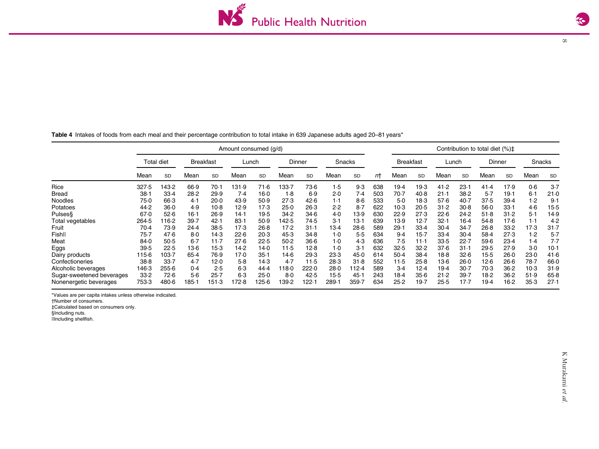$\infty$ 

<span id="page-7-0"></span>Table 4 Intakes of foods from each meal and their percentage contribution to total intake in 639 Japanese adults aged 20–81 years\*

|                           |          |            |                  |           | Amount consumed (g/d) |           |       |        |        |           |     |                  |        |        |           | Contribution to total diet (%)‡ |          |        |        |
|---------------------------|----------|------------|------------------|-----------|-----------------------|-----------|-------|--------|--------|-----------|-----|------------------|--------|--------|-----------|---------------------------------|----------|--------|--------|
|                           |          | Total diet | <b>Breakfast</b> |           |                       | Lunch     |       | Dinner | Snacks |           |     | <b>Breakfast</b> |        | Lunch  |           | Dinner                          |          | Snacks |        |
|                           | Mean     | SD         | Mean             | <b>SD</b> | Mean                  | <b>SD</b> | Mean  | SD     | Mean   | <b>SD</b> | пt  | Mean             | SD     | Mean   | <b>SD</b> | Mean                            | SD       | Mean   | SD     |
| Rice                      | 327.5    | 143.2      | 66.9             | 70.1      | 31.9                  | 71.6      | .33.7 | 73.6   | 1.5    | 9.3       | 638 | 19.4             | 19.3   | 41.2   | 23.1      | 41.4                            | 17.9     | 0.6    | 3.7    |
| <b>Bread</b>              | $38 - 1$ | 33.4       | 28.2             | 29.9      | 7.4                   | $16-0$    | 1.8   | 6.9    | 2.0    | 7.4       | 503 | 70.7             | 40.8   | 21.1   | 38.2      | 5.7                             | 19.1     | 6.1    | 21.0   |
| Noodles                   | 75.0     | 66.3       | 4.1              | 20.0      | 43.9                  | 50.9      | 27.3  | 42.6   | 1.1    | 8.6       | 533 | $5-0$            | 18.3   | 57.6   | $40-7$    | 37.5                            | 39.4     | 1.2    | 9.1    |
| Potatoes                  | 44.2     | 36.0       | 4.9              | $10-8$    | 12.9                  | 17.3      | 25.0  | $26-3$ | 2.2    | $8-7$     | 622 | 10.3             | 20.5   | 31.2   | 30.8      | 56.0                            | 33.1     | 4.6    | 15.5   |
| Pulses§                   | 67.0     | 52.6       | $16-1$           | 26.9      | 14.1                  | 19.5      | 34.2  | 34.6   | 4.0    | 13.9      | 630 | 22.9             | 27.3   | 22.6   | 24.2      | 51.8                            | 31.2     | $5-1$  | 14.9   |
| Total vegetables          | 264.5    | 16.2       | 39.7             | 42.1      | $83-1$                | 50.9      | 142.5 | 74.5   | 3.1    | 13.1      | 639 | 13.9             | 12.7   | 32.1   | 16.4      | 54.8                            | 17.6     | 1.1    | 4.2    |
| Fruit                     | 70.4     | 73.9       | 24.4             | 38.5      | 17.3                  | 26.8      | 17.2  | $31-1$ | 13.4   | $28-6$    | 589 | 29.7             | 33.4   | $30-4$ | 34.7      | 26.8                            | 33.2     | 17.3   | 31.7   |
| Fishll                    | 75.7     | 47.6       | 8.0              | 14.3      | 22.6                  | 20.3      | 45.3  | 34.8   | $1-0$  | 5.5       | 634 | 9.4              | $15-7$ | 33.4   | 30.4      | 58.4                            | 27.3     | 1.2    | 5.7    |
| Meat                      | 84.0     | 50.5       | $6-7$            | $11-7$    | 27.6                  | 22.5      | 50.2  | $36-6$ | $1-0$  | 4.3       | 636 | 7.5              | 11.1   | 33.5   | 22.7      | 59.6                            | 23.4     | 1.4    | 7.7    |
| Eggs                      | 39.5     | 22.5       | $13-6$           | $15-3$    | 14.2                  | 14.0      | 11.5  | 12.8   | $1-0$  | 3.1       | 632 | 32.5             | 32.2   | 37.6   | 31.1      | 29.5                            | 27.9     | $3-0$  | $10-1$ |
| Dairy products            | 115.6    | 103.7      | $65-4$           | 76.9      | 17.0                  | 35.1      | 14.6  | 29.3   | 23.3   | 45.0      | 614 | $50-4$           | 38.4   | $18-8$ | 32.6      | $15-5$                          | 26.0     | 23.0   | 41.6   |
| Confectioneries           | 38.8     | 33.7       | 4.7              | 12.0      | $5-8$                 | 14.3      | 4.7   | 11.5   | 28.3   | 31.8      | 552 | 11.5             | $25-8$ | $13-6$ | 26.0      | 12.6                            | $26-6$   | 78.7   | 66.0   |
| Alcoholic beverages       | 146.3    | 255.6      | 0.4              | 2.5       | 6.3                   | 44.4      | 18.0  | 222.0  | 28.0   | 12.4      | 589 | 3.4              | 12.4   | 19.4   | $30-7$    | 70.3                            | $36 - 2$ | $10-3$ | 31.9   |
| Sugar-sweetened beverages | 33.2     | 72.6       | 5.6              | 25.7      | $6-3$                 | 25.0      | $8-0$ | 42.5   | $15-5$ | 45.1      | 243 | 18.4             | $35-6$ | 21.2   | 39.7      | 18.2                            | $36 - 2$ | 51.9   | 65.8   |
| Nonenergetic beverages    | 753.3    | 480.6      | 185-1            | 151.3     | 72.8                  | 125.6     | 139.2 | 122.1  | 289.   | 359.7     | 634 | 25.2             | 19.7   | 25.5   | $17-7$    | 19.4                            | $16-2$   | 35.3   | 27.1   |

\*Values are per capita intakes unless otherwise indicated.

†Number of consumers.

‡Calculated based on consumers only.

§Including nuts.

||Including shellfish.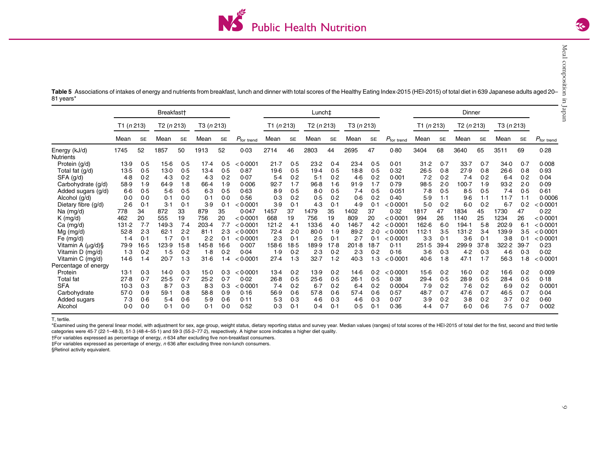

Meal composition in Japan

Meal composition in Japan

<span id="page-8-0"></span>Table 5 Associations of intakes of energy and nutrients from breakfast, lunch and dinner with total scores of the Healthy Eating Index-2015 (HEI-2015) of total diet in 639 Japanese adults aged 20– 81 years\*

|                                   | Breakfast <sup>+</sup> |           |           |           |            |           |                        | Lunch‡       |           |           |           |           |           |                        |            |           |            |           |            |           |                        |
|-----------------------------------|------------------------|-----------|-----------|-----------|------------|-----------|------------------------|--------------|-----------|-----------|-----------|-----------|-----------|------------------------|------------|-----------|------------|-----------|------------|-----------|------------------------|
|                                   | T1 (n 213)             |           | T2(n 213) |           | T3 (n 213) |           |                        | T1 $(n 213)$ |           | T2(n 213) |           | T3(n213)  |           |                        | T1 (n 213) |           | T2 (n 213) |           | T3 (n 213) |           |                        |
|                                   | Mean                   | <b>SE</b> | Mean      | <b>SE</b> | Mean       | <b>SE</b> | $P_{\text{for trend}}$ | Mean         | <b>SE</b> | Mean      | <b>SE</b> | Mean      | <b>SE</b> | $P_{\text{for trend}}$ | Mean       | <b>SE</b> | Mean       | <b>SE</b> | Mean       | <b>SE</b> | $P_{\text{for trend}}$ |
| Energy (kJ/d)<br><b>Nutrients</b> | 1745                   | 52        | 1857      | 50        | 1913       | 52        | 0.03                   | 2714         | 46        | 2803      | 44        | 2695      | 47        | 0.80                   | 3404       | 68        | 3640       | 65        | 3511       | 69        | 0.28                   |
| Protein (g/d)                     | 13.9                   | 0.5       | $15-6$    | 0.5       | 17.4       | 0.5       | < 0.0001               | 21.7         | 0.5       | 23.2      | 0.4       | 23.4      | 0.5       | 0.01                   | 31.2       | 0.7       | 33.7       | 0.7       | 34.0       | 0.7       | 0.008                  |
| Total fat (g/d)                   | $13-5$                 | 0.5       | $13-0$    | 0.5       | 13.4       | 0.5       | 0.87                   | 19.6         | 0.5       | 19.4      | 0.5       | $18-8$    | 0.5       | 0.32                   | 26.5       | 0.8       | 27.9       | 0.8       | 26.6       | 0.8       | 0.93                   |
| SFA (g/d)                         | 4.8                    | 0.2       | 4.3       | 0.2       | 4.3        | 0.2       | 0.07                   | 5.4          | 0.2       | 5.1       | 0.2       | 4.6       | 0.2       | 0.001                  | 7.2        | 0.2       | 7.4        | 0.2       | $6-4$      | 0.2       | 0.04                   |
| Carbohydrate (q/d)                | 58.9                   | 1.9       | 64.9      | 1.8       | 66.4       | 1.9       | 0.006                  | 92.7         | $1-7$     | 96.8      | 1·6       | 91.9      | 1.7       | 0.79                   | 98.5       | 2.0       | $100 - 7$  | 1.9       | 93.2       | 2.0       | 0.09                   |
| Added sugars (g/d)                | $6-6$                  | 0.5       | 5.6       | 0.5       | 6.3        | 0.5       | 0.63                   | 8.9          | 0.5       | 8.0       | 0.5       | 7.4       | 0.5       | 0.051                  | 7.8        | 0.5       | 8.5        | 0.5       | 7.4        | 0.5       | 0.61                   |
| Alcohol (g/d)                     | $0-0$                  | 0.0       | 0.1       | 0.0       | 0.1        | 0.0       | 0.56                   | 0.3          | 0.2       | 0.5       | 0.2       | 0.6       | 0.2       | 0.40                   | 5.9        | 1.1       | 9.6        | 1.1       | 11.7       | 1.1       | 0.0006                 |
| Dietary fibre (g/d)               | 2.6                    | 0.1       | 3.1       | 0.1       | 3.9        | 0.1       | < 0.0001               | 3.9          | 0.1       | 4.3       | 0.1       | 4.9       | 0.1       | < 0.0001               | 5.0        | 0.2       | $6-0$      | 0.2       | 6.7        | 0.2       | < 0.0001               |
| $Na$ (mg/d)                       | 778                    | 34        | 872       | 33        | 879        | 35        | 0.047                  | 1457         | 37        | 1479      | 35        | 1402      | 37        | 0.32                   | 1817       | 47        | 1834       | 45        | 1730       | 47        | 0.22                   |
| $K$ (mg/d)                        | 462                    | 20        | 555       | 19        | 756        | 20        | < 0.0001               | 668          | 19        | 756       | 19        | 809       | 20        | < 0.0001               | 994        | 26        | 1140       | 25        | 1234       | 26        | < 0.0001               |
| $Ca$ (mg/d)                       | 131.2                  | 7.7       | 149.3     | 7.4       | 203.4      | 7.7       | < 0.0001               | 121.2        | 4.1       | 133.6     | 4.0       | $146 - 7$ | 4.2       | < 0.0001               | 162.6      | $6-0$     | 194.1      | 5.8       | 202.9      | 6.1       | < 0.0001               |
| $Mg$ (mg/d)                       | 52.8                   | 2.3       | 62.1      | 2.2       | 81.1       | 2.3       | < 0.0001               | 72.4         | 2.0       | $80 - 0$  | 1.9       | 89.2      | 2.0       | < 0.0001               | 112.1      | 3.5       | 131.2      | 3.4       | 139.9      | 3.5       | < 0.0001               |
| Fe $(mq/d)$                       | 1.4                    | 0.1       | 1.7       | 0.1       | 2.2        | 0.1       | < 0.0001               | 2.3          | 0.1       | 2.5       | 0.1       | 2.7       | 0.1       | < 0.0001               | 3.3        | 0.1       | $3-6$      | 0.1       | $3-8$      | 0.1       | < 0.0001               |
| Vitamin A (µg/d)§                 | 79.9                   | $16-5$    | 123.9     | $15-8$    | 145.8      | $16-6$    | 0.007                  | 158.6        | $18-5$    | 189.9     | 17.8      | 201.8     | 18.7      | 0.11                   | 251.5      | 39.4      | 299.9      | 37.8      | 322.2      | 39.7      | 0.23                   |
| Vitamin D (mg/d)                  | 1.3                    | 0.2       | 1.5       | 0.2       | 1.8        | 0.2       | 0.04                   | 1.9          | 0.2       | 2.3       | 0.2       | 2.3       | 0.2       | 0.16                   | $3-6$      | 0.3       | 4.2        | 0.3       | 4.6        | 0.3       | 0.02                   |
| Vitamin C (mg/d)                  | $14-6$                 | 1.4       | 20.7      | 1.3       | 31.6       | 1.4       | < 0.0001               | 27.4         | 1.3       | 32.7      | 1.2       | 40.3      | 1.3       | < 0.0001               | 40.6       | 1.8       | 47.1       | 1.7       | 56.3       | 1.8       | < 0.0001               |
| Percentage of energy              |                        |           |           |           |            |           |                        |              |           |           |           |           |           |                        |            |           |            |           |            |           |                        |
| Protein                           | 13.1                   | 0.3       | 14.0      | 0.3       | $15-0$     | 0.3       | < 0.0001               | 13.4         | 0.2       | 13.9      | 0.2       | $14-6$    | 0.2       | 0.0001                 | $15-6$     | 0.2       | $16-0$     | 0.2       | $16-6$     | 0.2       | 0.009                  |
| <b>Total fat</b>                  | 27.8                   | 0.7       | 25.5      | 0.7       | 25.2       | 0.7       | 0.02                   | 26.8         | 0.5       | 25.6      | 0.5       | $26-1$    | 0.5       | 0.38                   | 29.4       | 0.5       | 28.9       | 0.5       | 28.4       | 0.5       | 0.18                   |
| <b>SFA</b>                        | 10.3                   | 0.3       | 8.7       | 0.3       | 8.3        | 0.3       | 0.0001                 | 7.4          | 0.2       | $6-7$     | 0.2       | 6.4       | 0.2       | 0.0004                 | 7.9        | 0.2       | 7.6        | 0.2       | 6.9        | 0.2       | 0.0001                 |
| Carbohydrate                      | 57.0                   | 0.9       | 59.1      | 0.8       | 58.8       | 0.9       | 0.16                   | 56.9         | 0.6       | 57.8      | 0.6       | 57.4      | 0.6       | 0.57                   | 48.7       | 0.7       | 47.6       | 0.7       | 46.5       | 0.7       | 0.04                   |
| Added sugars                      | 7.3                    | 0.6       | 5.4       | 0.6       | 5.9        | 0.6       | 0.11                   | 5.3          | 0.3       | 4.6       | 0.3       | 4.6       | 0.3       | 0.07                   | 3.9        | 0.2       | $3-8$      | 0.2       | 3.7        | 0.2       | 0.60                   |
| Alcohol                           | 0.0                    | 0.0       | 0.1       | 0.0       | 0.1        | 0.0       | 0.52                   | 0.3          | 0.1       | 0.4       | 0.1       | 0.5       | 0.1       | 0.36                   | 4.4        | 0.7       | $6-0$      | 0.6       | 7.5        | 0.7       | 0.002                  |

T, tertile.

\*Examined using the general linear model, with adjustment for sex, age group, weight status, dietary reporting status and survey year. Median values (ranges) of total scores of the HEI-2015 of total diet for the first, sec categories were 45·7 (22·1–48·3), 51·3 (48·4–55·1) and 59·3 (55·2–77·2), respectively. A higher score indicates <sup>a</sup> higher diet quality.

†For variables expressed as percentage of energy, <sup>n</sup> 634 after excluding five non-breakfast consumers.

‡For variables expressed as percentage of energy, <sup>n</sup> 636 after excluding three non-lunch consumers.

§Retinol activity equivalent.

 $\circ$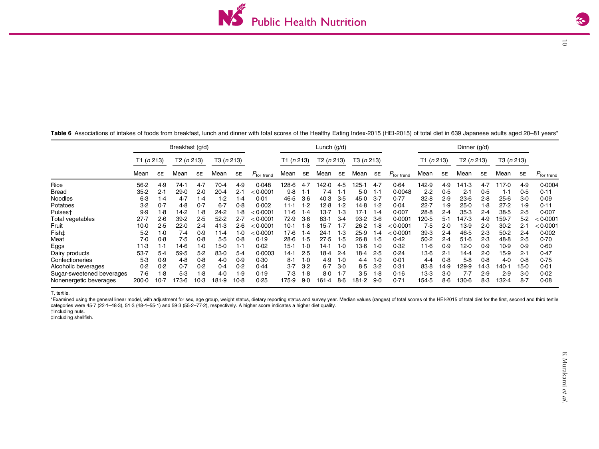<span id="page-9-0"></span>

Table 6 Associations of intakes of foods from breakfast, lunch and dinner with total scores of the Healthy Eating Index-2015 (HEI-2015) of total diet in 639 Japanese adults aged 20–81 years\*

Breakfast (g/d)  $P_{\rm for \ trend}$ Lunch (g/d) P<sub>for trend</sub> Dinner (g/d)  $P_{\rm for~trenc}$ T1 (<sup>n</sup> 213) T2 (<sup>n</sup> 213) T3 (<sup>n</sup> 213) T1 (<sup>n</sup> 213) T2 (<sup>n</sup> 213) T3 (<sup>n</sup> 213) T1 (<sup>n</sup> 213) T2 (<sup>n</sup> 213) T3 (<sup>n</sup> 213) Mean SE $\epsilon$  Mean se Mean se  $P_{\rm tor\: from}$  Mean se Mean se Mean se  $P_{\rm for\: from}$  Mean se Mean se Mean se Mean se Rice 56·2 4·9 74·1 4·7 70·4 4·9 0·048 128·6 4·7 142·0 4·5 125·1 4·7 0·64 142·9 4·9 141·3 4·7 117·0 4·9 0·0004Bread 35·2 2·1 29·0 2·0 20·4 2·1 $2.1 \le 0.0001$  0·0001 9·8 1·1 7·4 1·1 5·0 1·1 0·0048 2·2 0·5 2·1 0·5 1·1 0·5 0·11 Noodles 6·3 1·4 4·7 1·4 1·2 1·4 0·01 46·5 3·6 40·3 3·5 45·0 3·7 0·77 32·8 2·9 23·6 2·8 25·6 3·0 0·09Potatoes 3·2 0·7 4·8 0·7 6·7 0·8 0·002 11·1 1·2 12·8 1·2 14·8 1·2 0·04 22·7 1·9 25·0 1·8 27·2 1·9 0·11Pulses† 9·9 1·8 14·2 1·8 24·2 1·8 <sup>&</sup>lt; 0·0001 11·6 1·4 13·7 1·3 17·1 1·4 0·007 28·8 2·4 35·3 2·4 38·5 2·5 0·007 Total vegetables 27·7 2·6 39·2 2·5 52·2 2·7 <sup>&</sup>lt; 0·0001 72·9 3·6 83·1 3·4 93·2 3·6 0·0001 120·5 5·1 147·3 4·9 159·7 5·2 <sup>&</sup>lt; 0·0001 Fruit 10·0 2·5 22·0 2·4 41·3 2·6 $2.6 \le 0.0001$  0·0001 10·1 1·8 15·7 1·7 26·2 1·8 < 0·0001 7·5 2·0 13·9 2·0 30·2 2·1 < 0·0001 Fish‡ 5·2 1·0 7·4 0·9 11·4 1·0 <sup>&</sup>lt; 0·0001 17·6 1·4 24·1 1·3 25·9 1·4 <sup>&</sup>lt; 0·0001 39·3 2·4 46·5 2·3 50·2 2·4 0·002 Meat 7·0 0·8 7·5 0·8 5·5 0·8 0·19 28·6 1·5 27·5 1·5 26·8 1·5 0·42 50·2 2·4 51·6 2·3 48·8 2·5 0·70 $0.70$ Eggs 11·3 1·1 14·6 1·0 15·0 1·1 0·02 15·1 1·0 14·1 1·0 13·6 1·0 0·32 11·6 0·9 12·0 0·9 10·9 0·9 0·60 Dairy products 53·7 5·4 59·5 5·2 83·0 5·4 0·0003 14·1 2·5 18·4 2·4 18·4 2·5 0·24 13·6 2·1 14·4 2·0 15·9 2·1 0·47 Confectioneries 5·3 0·9 4·8 0·8 4·0 0·9 0·30 8·1 1·0 4·9 1·0 4·4 1·0 0·01 4·4 0·8 5·8 0·8 4·0 0·8 0·75Alcoholic beverages 0·2 0·2 0·7 0·2 0·4 0·2 0·44 3·7 3·2 6·7 3·0 8·5 3·2 0·31 83·8 14·9 129·9 14·3 140·1 15·0 0·01 Sugar-sweetened beverages 7·6 1·8 5·3 1·8 4·0 1·9 0·19 7·3 1·8 8·0 1·7 3·5 1·8 0·16 13·3 3·0 7·7 2·9 2·9 3·0 0·02 Nonenergetic beverages 200·0 10·7 173·6 10·3 181·9 10·8 0·25 175·9 9·0 161·4 8·6 181·2 9·0 0·71 154·5 8·6 130·6 8·3 132·4 8·7 0·08

T, tertile.

\*Examined using the general linear model, with adjustment for sex, age group, weight status, dietary reporting status and survey year. Median values (ranges) of total scores of the HEI-2015 of total diet for the first, sec categories were 45·7 (22·1–48·3), 51·3 (48·4–55·1) and 59·3 (55·2–77·2), respectively. A higher score indicates <sup>a</sup> higher diet quality.

†Including nuts.

‡Including shellfish.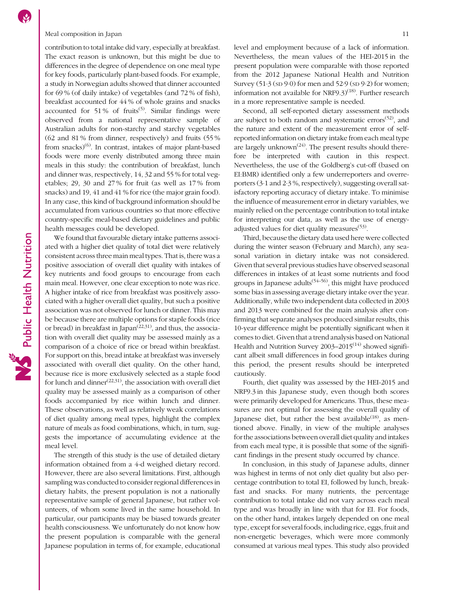### Meal composition in Japan 11

contribution to total intake did vary, especially at breakfast. The exact reason is unknown, but this might be due to differences in the degree of dependence on one meal type for key foods, particularly plant-based foods. For example, a study in Norwegian adults showed that dinner accounted for 69 % (of daily intake) of vegetables (and 72 % of fish), breakfast accounted for 44 % of whole grains and snacks accounted for 51% of fruits<sup>[\(5\)](#page-11-0)</sup>. Similar findings were observed from a national representative sample of Australian adults for non-starchy and starchy vegetables (62 and 81 % from dinner, respectively) and fruits (55 % from snacks $(6)$  $(6)$  $(6)$ . In contrast, intakes of major plant-based foods were more evenly distributed among three main meals in this study: the contribution of breakfast, lunch and dinner was, respectively, 14, 32 and 55 % for total vegetables; 29, 30 and 27 % for fruit (as well as 17 % from snacks) and 19, 41 and 41 % for rice (the major grain food). In any case, this kind of background information should be accumulated from various countries so that more effective country-specific meal-based dietary guidelines and public health messages could be developed.

We found that favourable dietary intake patterns associated with a higher diet quality of total diet were relatively consistent across three main meal types. That is, there was a positive association of overall diet quality with intakes of key nutrients and food groups to encourage from each main meal. However, one clear exception to note was rice. A higher intake of rice from breakfast was positively associated with a higher overall diet quality, but such a positive association was not observed for lunch or dinner. This may be because there are multiple options for staple foods (rice or bread) in breakfast in Japan<sup> $(22,31)$  $(22,31)$ </sup>, and thus, the association with overall diet quality may be assessed mainly as a comparison of a choice of rice or bread within breakfast. For support on this, bread intake at breakfast was inversely associated with overall diet quality. On the other hand, because rice is more exclusively selected as a staple food for lunch and dinner $(22,31)$ , the association with overall diet quality may be assessed mainly as a comparison of other foods accompanied by rice within lunch and dinner. These observations, as well as relatively weak correlations of diet quality among meal types, highlight the complex nature of meals as food combinations, which, in turn, suggests the importance of accumulating evidence at the meal level.

The strength of this study is the use of detailed dietary information obtained from a 4-d weighed dietary record. However, there are also several limitations. First, although sampling was conducted to consider regional differences in dietary habits, the present population is not a nationally representative sample of general Japanese, but rather volunteers, of whom some lived in the same household. In particular, our participants may be biased towards greater health consciousness. We unfortunately do not know how the present population is comparable with the general Japanese population in terms of, for example, educational level and employment because of a lack of information. Nevertheless, the mean values of the HEI-2015 in the present population were comparable with those reported from the 2012 Japanese National Health and Nutrition Survey  $(51.3 \text{ (SD 9.0)}$  for men and  $52.9 \text{ (SD 9.2)}$  for women; information not available for NRF9.3)<sup>([18\)](#page-11-0)</sup>. Further research in a more representative sample is needed.

Second, all self-reported dietary assessment methods are subject to both random and systematic errors $(52)$ , and the nature and extent of the measurement error of selfreported information on dietary intake from each meal type are largely unknown<sup> $(24)$ </sup>. The present results should therefore be interpreted with caution in this respect. Nevertheless, the use of the Goldberg's cut-off (based on EI:BMR) identified only a few underreporters and overreporters (3·1 and 2·3 %, respectively), suggesting overall satisfactory reporting accuracy of dietary intake. To minimise the influence of measurement error in dietary variables, we mainly relied on the percentage contribution to total intake for interpreting our data, as well as the use of energy-adjusted values for diet quality measures<sup>[\(53\)](#page-12-0)</sup>.

Third, because the dietary data used here were collected during the winter season (February and March), any seasonal variation in dietary intake was not considered. Given that several previous studies have observed seasonal differences in intakes of at least some nutrients and food groups in Japanese adults<sup> $(54–56)$  $(54–56)$  $(54–56)$ </sup>, this might have produced some bias in assessing average dietary intake over the year. Additionally, while two independent data collected in 2003 and 2013 were combined for the main analysis after confirming that separate analyses produced similar results, this 10-year difference might be potentially significant when it comes to diet. Given that a trend analysis based on National Health and Nutrition Survey  $2003-2015^{(14)}$  $2003-2015^{(14)}$  $2003-2015^{(14)}$  showed significant albeit small differences in food group intakes during this period, the present results should be interpreted cautiously.

Fourth, diet quality was assessed by the HEI-2015 and NRF9.3 in this Japanese study, even though both scores were primarily developed for Americans. Thus, these measures are not optimal for assessing the overall quality of Japanese diet, but rather the best available<sup> $(18)$  $(18)$  $(18)$ </sup>, as mentioned above. Finally, in view of the multiple analyses for the associations between overall diet quality and intakes from each meal type, it is possible that some of the significant findings in the present study occurred by chance.

In conclusion, in this study of Japanese adults, dinner was highest in terms of not only diet quality but also percentage contribution to total EI, followed by lunch, breakfast and snacks. For many nutrients, the percentage contribution to total intake did not vary across each meal type and was broadly in line with that for EI. For foods, on the other hand, intakes largely depended on one meal type, except for several foods, including rice, eggs, fruit and non-energetic beverages, which were more commonly consumed at various meal types. This study also provided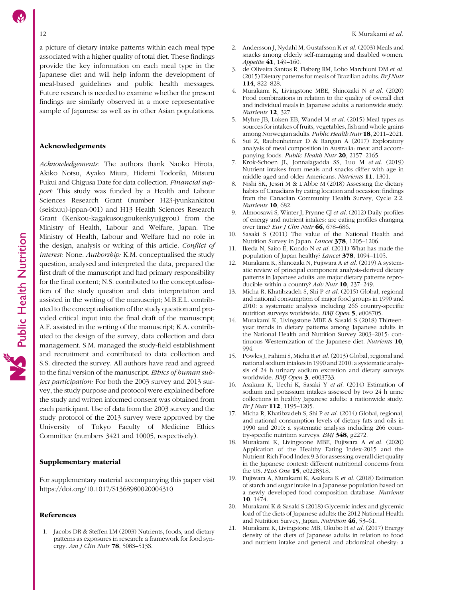<span id="page-11-0"></span>a picture of dietary intake patterns within each meal type associated with a higher quality of total diet. These findings provide the key information on each meal type in the Japanese diet and will help inform the development of meal-based guidelines and public health messages. Future research is needed to examine whether the present findings are similarly observed in a more representative sample of Japanese as well as in other Asian populations.

### Acknowledgements

Acknowledgements: The authors thank Naoko Hirota, Akiko Notsu, Ayako Miura, Hidemi Todoriki, Mitsuru Fukui and Chigusa Date for data collection. Financial support: This study was funded by a Health and Labour Sciences Research Grant (number H23-jyunkankitou (seishuu)-ippan-001) and H13 Health Sciences Research Grant (Kenkou-kagakusougoukenkyujigyou) from the Ministry of Health, Labour and Welfare, Japan. The Ministry of Health, Labour and Welfare had no role in the design, analysis or writing of this article. Conflict of interest: None. Authorship: K.M. conceptualised the study question, analysed and interpreted the data, prepared the first draft of the manuscript and had primary responsibility for the final content; N.S. contributed to the conceptualisation of the study question and data interpretation and assisted in the writing of the manuscript; M.B.E.L. contributed to the conceptualisation of the study question and provided critical input into the final draft of the manuscript; A.F. assisted in the writing of the manuscript; K.A. contributed to the design of the survey, data collection and data management. S.M. managed the study-field establishment and recruitment and contributed to data collection and S.S. directed the survey. All authors have read and agreed to the final version of the manuscript. Ethics of human subject participation: For both the 2003 survey and 2013 survey, the study purpose and protocol were explained before the study and written informed consent was obtained from each participant. Use of data from the 2003 survey and the study protocol of the 2013 survey were approved by the University of Tokyo Faculty of Medicine Ethics Committee (numbers 3421 and 10005, respectively).

# Supplementary material

For supplementary material accompanying this paper visit <https://doi.org/10.1017/S1368980020004310>

### References

1. Jacobs DR & Steffen LM (2003) Nutrients, foods, and dietary patterns as exposures in research: a framework for food synergy. Am J Clin Nutr **78**, 508S-513S.

- 2. Andersson J, Nydahl M, Gustafsson K et al. (2003) Meals and snacks among elderly self-managing and disabled women. Appetite 41, 149–160.
- 3. de Oliveira Santos R, Fisberg RM, Lobo Marchioni DM et al. (2015) Dietary patterns for meals of Brazilian adults. BrJ Nutr 114, 822–828.
- 4. Murakami K, Livingstone MBE, Shinozaki N et al. (2020) Food combinations in relation to the quality of overall diet and individual meals in Japanese adults: a nationwide study. Nutrients 12, 327.
- 5. Myhre JB, Loken EB, Wandel M et al. (2015) Meal types as sources for intakes of fruits, vegetables, fish and whole grains among Norwegian adults. Public Health Nutr 18, 2011–2021.
- 6. Sui Z, Raubenheimer D & Rangan A (2017) Exploratory analysis of meal composition in Australia: meat and accompanying foods. Public Health Nutr 20, 2157–2165.
- 7. Krok-Schoen JL, Jonnalagadda SS, Luo M et al. (2019) Nutrient intakes from meals and snacks differ with age in middle-aged and older Americans. Nutrients 11, 1301.
- 8. Nishi SK, Jessri M & L'Abbe M (2018) Assessing the dietary habits of Canadians by eating location and occasion: findings from the Canadian Community Health Survey, Cycle 2.2. Nutrients 10, 682.
- 9. Almoosawi S, Winter J, Prynne CJ et al. (2012) Daily profiles of energy and nutrient intakes: are eating profiles changing over time? Eur J Clin Nutr 66, 678-686.
- 10. Sasaki S (2011) The value of the National Health and Nutrition Survey in Japan. Lancet 378, 1205–1206.
- 11. Ikeda N, Saito E, Kondo N et al. (2011) What has made the population of Japan healthy? Lancet 378, 1094-1105.
- 12. Murakami K, Shinozaki N, Fujiwara A et al. (2019) A systematic review of principal component analysis-derived dietary patterns in Japanese adults: are major dietary patterns reproducible within a country? Adv Nutr 10, 237-249.
- 13. Micha R, Khatibzadeh S, Shi P et al. (2015) Global, regional and national consumption of major food groups in 1990 and 2010: a systematic analysis including 266 country-specific nutrition surveys worldwide. BMJ Open 5, e008705.
- 14. Murakami K, Livingstone MBE & Sasaki S (2018) Thirteenyear trends in dietary patterns among Japanese adults in the National Health and Nutrition Survey 2003–2015: continuous Westernization of the Japanese diet. Nutrients 10, 994.
- 15. Powles J, Fahimi S, Micha R et al. (2013) Global, regional and national sodium intakes in 1990 and 2010: a systematic analysis of 24 h urinary sodium excretion and dietary surveys worldwide. BMJ Open 3, e003733.
- 16. Asakura K, Uechi K, Sasaki Y et al. (2014) Estimation of sodium and potassium intakes assessed by two 24 h urine collections in healthy Japanese adults: a nationwide study. Br J Nutr 112, 1195-1205.
- 17. Micha R, Khatibzadeh S, Shi P et al. (2014) Global, regional, and national consumption levels of dietary fats and oils in 1990 and 2010: a systematic analysis including 266 country-specific nutrition surveys. BMJ 348, g2272.
- 18. Murakami K, Livingstone MBE, Fujiwara A et al. (2020) Application of the Healthy Eating Index-2015 and the Nutrient-Rich Food Index 9.3 for assessing overall diet quality in the Japanese context: different nutritional concerns from the US. PLoS One 15, e0228318.
- 19. Fujiwara A, Murakami K, Asakura K et al. (2018) Estimation of starch and sugar intake in a Japanese population based on a newly developed food composition database. Nutrients 10, 1474.
- 20. Murakami K & Sasaki S (2018) Glycemic index and glycemic load of the diets of Japanese adults: the 2012 National Health and Nutrition Survey, Japan. Nutrition 46, 53–61.
- 21. Murakami K, Livingstone MB, Okubo H et al. (2017) Energy density of the diets of Japanese adults in relation to food and nutrient intake and general and abdominal obesity: a